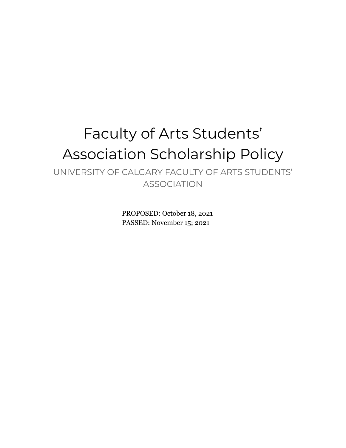# Faculty of Arts Students' Association Scholarship Policy

UNIVERSITY OF CALGARY FACULTY OF ARTS STUDENTS' ASSOCIATION

> PROPOSED: October 18, 2021 PASSED: November 15; 2021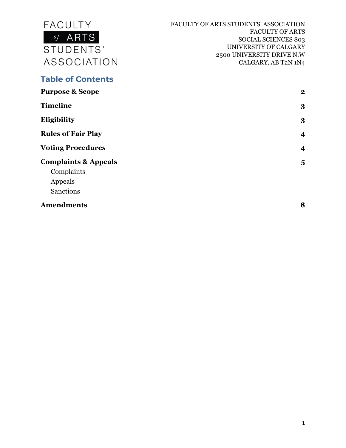

#### **Table of Contents**

| <b>Purpose &amp; Scope</b>      | $\mathbf{2}$            |
|---------------------------------|-------------------------|
| <b>Timeline</b>                 | 3                       |
| Eligibility                     | 3                       |
| <b>Rules of Fair Play</b>       | $\overline{\mathbf{4}}$ |
| <b>Voting Procedures</b>        | $\overline{\mathbf{4}}$ |
| <b>Complaints &amp; Appeals</b> | $\overline{\mathbf{5}}$ |
| Complaints                      |                         |
| Appeals                         |                         |
| <b>Sanctions</b>                |                         |
| <b>Amendments</b>               | 8                       |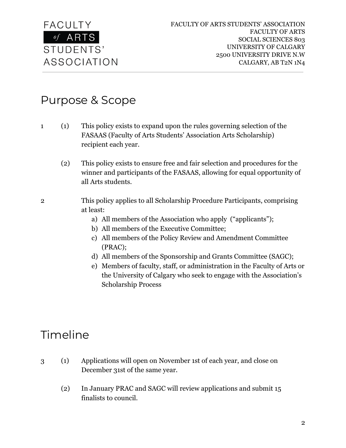

### Purpose & Scope

- 1 (1) This policy exists to expand upon the rules governing selection of the FASAAS (Faculty of Arts Students' Association Arts Scholarship) recipient each year.
	- (2) This policy exists to ensure free and fair selection and procedures for the winner and participants of the FASAAS, allowing for equal opportunity of all Arts students.
- 2 This policy applies to all Scholarship Procedure Participants, comprising at least:
	- a) All members of the Association who apply ("applicants");
	- b) All members of the Executive Committee;
	- c) All members of the Policy Review and Amendment Committee (PRAC);
	- d) All members of the Sponsorship and Grants Committee (SAGC);
	- e) Members of faculty, staff, or administration in the Faculty of Arts or the University of Calgary who seek to engage with the Association's Scholarship Process

### Timeline

- 3 (1) Applications will open on November 1st of each year, and close on December 31st of the same year.
	- (2) In January PRAC and SAGC will review applications and submit 15 finalists to council.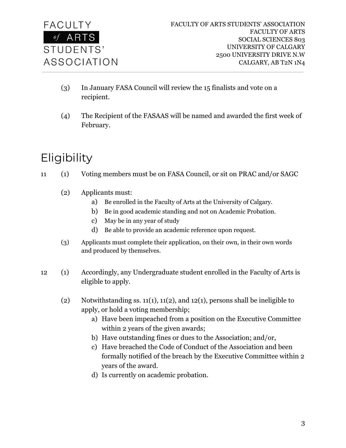

- (3) In January FASA Council will review the 15 finalists and vote on a recipient.
- (4) The Recipient of the FASAAS will be named and awarded the first week of February.

# Eligibility

- 11 (1) Voting members must be on FASA Council, or sit on PRAC and/or SAGC
	- (2) Applicants must:
		- a) Be enrolled in the Faculty of Arts at the University of Calgary.
		- b) Be in good academic standing and not on Academic Probation.
		- c) May be in any year of study
		- d) Be able to provide an academic reference upon request.
	- (3) Applicants must complete their application, on their own, in their own words and produced by themselves.
- 12 (1) Accordingly, any Undergraduate student enrolled in the Faculty of Arts is eligible to apply.
	- (2) Notwithstanding ss. 11(1), 11(2), and 12(1), persons shall be ineligible to apply, or hold a voting membership;
		- a) Have been impeached from a position on the Executive Committee within 2 years of the given awards;
		- b) Have outstanding fines or dues to the Association; and/or,
		- c) Have breached the Code of Conduct of the Association and been formally notified of the breach by the Executive Committee within 2 years of the award.
		- d) Is currently on academic probation.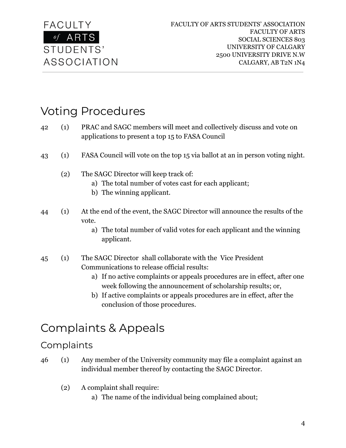

# Voting Procedures

- 42 (1) PRAC and SAGC members will meet and collectively discuss and vote on applications to present a top 15 to FASA Council
- 43 (1) FASA Council will vote on the top 15 via ballot at an in person voting night.
	- (2) The SAGC Director will keep track of:
		- a) The total number of votes cast for each applicant;
		- b) The winning applicant.
- 44 (1) At the end of the event, the SAGC Director will announce the results of the vote.
	- a) The total number of valid votes for each applicant and the winning applicant.
- 45 (1) The SAGC Director shall collaborate with the Vice President Communications to release official results:
	- a) If no active complaints or appeals procedures are in effect, after one week following the announcement of scholarship results; or,
	- b) If active complaints or appeals procedures are in effect, after the conclusion of those procedures.

## Complaints & Appeals

#### Complaints

- 46 (1) Any member of the University community may file a complaint against an individual member thereof by contacting the SAGC Director.
	- (2) A complaint shall require:
		- a) The name of the individual being complained about;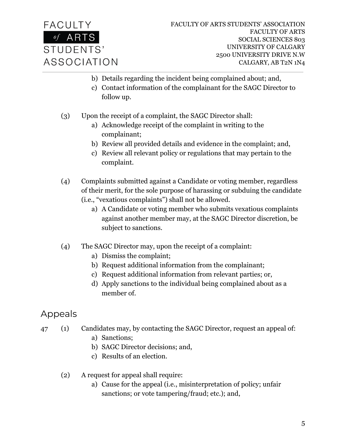

- b) Details regarding the incident being complained about; and,
- c) Contact information of the complainant for the SAGC Director to follow up.
- (3) Upon the receipt of a complaint, the SAGC Director shall:
	- a) Acknowledge receipt of the complaint in writing to the complainant;
	- b) Review all provided details and evidence in the complaint; and,
	- c) Review all relevant policy or regulations that may pertain to the complaint.
- (4) Complaints submitted against a Candidate or voting member, regardless of their merit, for the sole purpose of harassing or subduing the candidate (i.e., "vexatious complaints") shall not be allowed.
	- a) A Candidate or voting member who submits vexatious complaints against another member may, at the SAGC Director discretion, be subject to sanctions.
- (4) The SAGC Director may, upon the receipt of a complaint:
	- a) Dismiss the complaint;
	- b) Request additional information from the complainant;
	- c) Request additional information from relevant parties; or,
	- d) Apply sanctions to the individual being complained about as a member of.

### Appeals

- 47 (1) Candidates may, by contacting the SAGC Director, request an appeal of:
	- a) Sanctions;
	- b) SAGC Director decisions; and,
	- c) Results of an election.
	- (2) A request for appeal shall require:
		- a) Cause for the appeal (i.e., misinterpretation of policy; unfair sanctions; or vote tampering/fraud; etc.); and,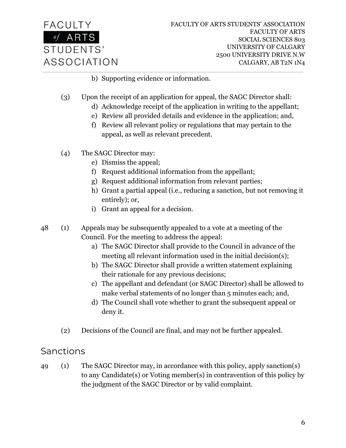

- b) Supporting evidence or information.
- (3) Upon the receipt of an application for appeal, the SAGC Director shall:
	- d) Acknowledge receipt of the application in writing to the appellant;
	- e) Review all provided details and evidence in the application; and,
	- f) Review all relevant policy or regulations that may pertain to the appeal, as well as relevant precedent.
- (4) The SAGC Director may:
	- e) Dismiss the appeal;
	- f) Request additional information from the appellant;
	- g) Request additional information from relevant parties;
	- h) Grant a partial appeal (i.e., reducing a sanction, but not removing it entirely); or,
	- i) Grant an appeal for a decision.
- 48 (1) Appeals may be subsequently appealed to a vote at a meeting of the Council. For the meeting to address the appeal:
	- a) The SAGC Director shall provide to the Council in advance of the meeting all relevant information used in the initial decision(s);
	- b) The SAGC Director shall provide a written statement explaining their rationale for any previous decisions;
	- c) The appellant and defendant (or SAGC Director) shall be allowed to make verbal statements of no longer than 5 minutes each; and,
	- d) The Council shall vote whether to grant the subsequent appeal or deny it.
	- (2) Decisions of the Council are final, and may not be further appealed.

#### Sanctions

49 (1) The SAGC Director may, in accordance with this policy, apply sanction(s) to any Candidate(s) or Voting member(s) in contravention of this policy by the judgment of the SAGC Director or by valid complaint.